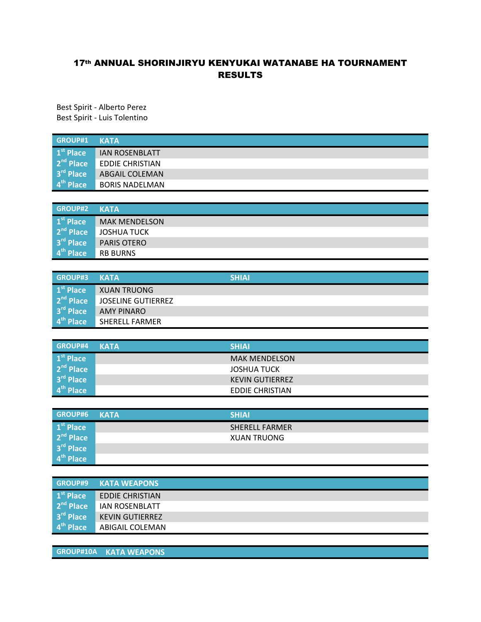## 17th ANNUAL SHORINJIRYU KENYUKAI WATANABE HA TOURNAMENT RESULTS

Best Spirit - Alberto Perez Best Spirit - Luis Tolentino

| GROUP#1 KATA                  |                        |
|-------------------------------|------------------------|
| $\vert 1^{\rm st}$ Place      | <b>JAN ROSENBLATT</b>  |
| $2nd$ Place                   | <b>EDDIE CHRISTIAN</b> |
| $3rd$ Place                   | <b>ABGAIL COLEMAN</b>  |
| $\vert$ 4 <sup>th</sup> Place | <b>BORIS NADELMAN</b>  |

| <b>GROUP#2</b>                 | <b>KATA</b>          |
|--------------------------------|----------------------|
| $\mathbf{1}^{\text{st}}$ Place | <b>MAK MENDELSON</b> |
| 2 <sup>nd</sup> Place          | JOSHUA TUCK          |
| $3rd$ Place                    | <b>PARIS OTERO</b>   |
| $4th$ Place                    | <b>RB BURNS</b>      |

| GROUP#3 KATA                   |                       | <b>SHIAI</b> |
|--------------------------------|-----------------------|--------------|
| $\mathbf{1}^{\text{st}}$ Place | XUAN TRUONG           |              |
| 2 <sup>nd</sup> Place          | JOSELINE GUTIERREZ    |              |
| $3rd$ Place                    | AMY PINARO            |              |
| $4th$ Place                    | <b>SHERELL FARMER</b> |              |

| GROUP#4 KATA          | <b>SHIAI</b>           |
|-----------------------|------------------------|
| 1 <sup>st</sup> Place | <b>MAK MENDELSON</b>   |
| 2 <sup>nd</sup> Place | JOSHUA TUCK            |
| $3rd$ Place           | <b>KEVIN GUTIERREZ</b> |
| 4 <sup>th</sup> Place | <b>EDDIE CHRISTIAN</b> |

| <b>GROUP#6</b>        | <b>KATA</b> | <b>SHIAI</b>          |
|-----------------------|-------------|-----------------------|
| 1 <sup>st</sup> Place |             | <b>SHERELL FARMER</b> |
| $2nd$ Place           |             | <b>XUAN TRUONG</b>    |
| $3rd$ Place           |             |                       |
| 4 <sup>th</sup> Place |             |                       |

| GROUP#9               | <b>KATA WEAPONS</b>    |
|-----------------------|------------------------|
| $1st$ Place           | <b>EDDIE CHRISTIAN</b> |
| $2nd$ Place           | <b>IAN ROSENBLATT</b>  |
| 3 <sup>rd</sup> Place | <b>KEVIN GUTIERREZ</b> |
| 4 <sup>th</sup> Place | ABIGAIL COLEMAN        |

**GROUP#10A KATA WEAPONS**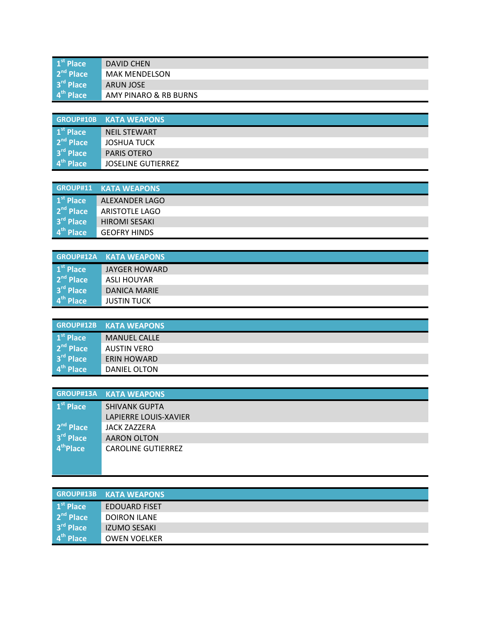| $1st$ Place           | DAVID CHEN            |
|-----------------------|-----------------------|
| $2nd$ Place           | <b>MAK MENDELSON</b>  |
| 3 <sup>rd</sup> Place | ARUN JOSE             |
| $4th$ Place           | AMY PINARO & RB BURNS |

|                       | <b>GROUP#10B KATA WEAPONS</b> |
|-----------------------|-------------------------------|
| 1 <sup>st</sup> Place | <b>NEIL STEWART</b>           |
| $2nd$ Place           | <b>JOSHUA TUCK</b>            |
| 3 <sup>rd</sup> Place | <b>PARIS OTERO</b>            |
| 4 <sup>th</sup> Place | <b>JOSELINE GUTIERREZ</b>     |

|                          | <b>GROUP#11 KATA WEAPONS</b> |
|--------------------------|------------------------------|
| $\vert 1^{\rm st}$ Place | ALEXANDER LAGO               |
| $2nd$ Place              | <b>ARISTOTLE LAGO</b>        |
| $3rd$ Place              | <b>HIROMI SESAKI</b>         |
| $4th$ Place              | <b>GEOFRY HINDS</b>          |

| GROUP#12A             | <b>KATA WEAPONS</b>  |
|-----------------------|----------------------|
| $1st$ Place           | <b>JAYGER HOWARD</b> |
| $2nd$ Place           | ASLI HOUYAR          |
| $3rd$ Place           | DANICA MARIE         |
| 4 <sup>th</sup> Place | <b>JUSTIN TUCK</b>   |

|                       | <b>GROUP#12B KATA WEAPONS</b> |
|-----------------------|-------------------------------|
| $1st$ Place           | <b>MANUEL CALLE</b>           |
| 2 <sup>nd</sup> Place | <b>AUSTIN VERO</b>            |
| 3 <sup>rd</sup> Place | <b>ERIN HOWARD</b>            |
| 4 <sup>th</sup> Place | DANIEL OLTON                  |

|                       | <b>GROUP#13A KATA WEAPONS</b> |
|-----------------------|-------------------------------|
| 1 <sup>st</sup> Place | <b>SHIVANK GUPTA</b>          |
|                       | LAPIERRE LOUIS-XAVIER         |
| $2nd$ Place           | JACK ZAZZERA                  |
| 3 <sup>rd</sup> Place | AARON OLTON                   |
| 4 <sup>th</sup> Place | <b>CAROLINE GUTIERREZ</b>     |
|                       |                               |

|                       | <b>GROUP#13B KATA WEAPONS</b> |
|-----------------------|-------------------------------|
| $1st$ Place           | <b>EDOUARD FISET</b>          |
| $2nd$ Place           | DOIRON ILANE                  |
| $3rd$ Place           | <b>IZUMO SESAKI</b>           |
| 4 <sup>th</sup> Place | <b>OWEN VOELKER</b>           |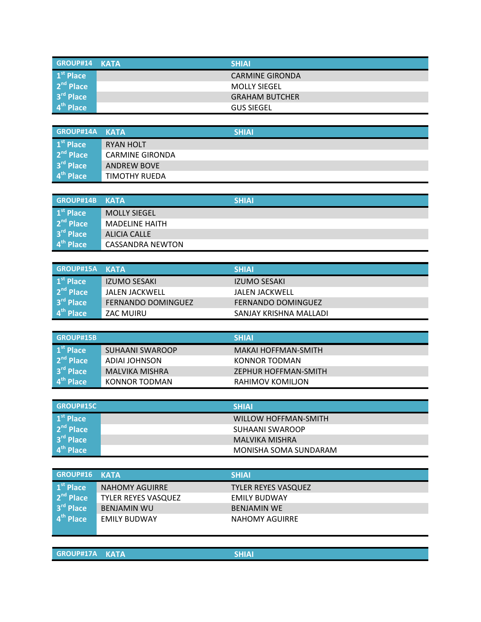| GROUP#14 KATA            | <b>SHIAI</b>           |
|--------------------------|------------------------|
| $\vert 1^{\rm st}$ Place | <b>CARMINE GIRONDA</b> |
| $2nd$ Place              | <b>MOLLY SIEGEL</b>    |
| $3rd$ Place              | <b>GRAHAM BUTCHER</b>  |
| $4th$ Place              | <b>GUS SIEGEL</b>      |

| GROUP#14A KATA                   |                        | <b>SHIAI</b> |
|----------------------------------|------------------------|--------------|
| $\vert 1^{\rm st}$ Place         | <b>RYAN HOLT</b>       |              |
| 2 <sup>nd</sup> Place            | <b>CARMINE GIRONDA</b> |              |
| $3rd$ Place                      | <b>ANDREW BOVE</b>     |              |
| $\overline{4}^{\text{th}}$ Place | TIMOTHY RUEDA          |              |

| <b>GROUP#14B</b>      | KATA                    | <b>SHIAI</b> |
|-----------------------|-------------------------|--------------|
| 1 <sup>st</sup> Place | <b>MOLLY SIEGEL</b>     |              |
| $2nd$ Place           | <b>MADELINE HAITH</b>   |              |
| 3 <sup>rd</sup> Place | ALICIA CALLE            |              |
| 4 <sup>th</sup> Place | <b>CASSANDRA NEWTON</b> |              |

| <b>GROUP#15A KATA</b> |                           | <b>SHIAI</b>           |
|-----------------------|---------------------------|------------------------|
| 1 <sup>st</sup> Place | IZUMO SESAKI              | IZUMO SESAKI           |
| $2nd$ Place           | <b>JALEN JACKWELL</b>     | JALEN JACKWELL         |
| 3rd Place             | <b>FERNANDO DOMINGUEZ</b> | FERNANDO DOMINGUEZ     |
| 4 <sup>th</sup> Place | ZAC MUIRU                 | SANJAY KRISHNA MALLADI |

| <b>GROUP#15B</b>              |                       | <b>SHIAI</b>         |
|-------------------------------|-----------------------|----------------------|
| $\vert$ 1 <sup>st</sup> Place | SUHAANI SWAROOP       | MAKAI HOFFMAN-SMITH  |
| $\vert$ 2 <sup>nd</sup> Place | ADIAI JOHNSON         | KONNOR TODMAN        |
| 3 <sup>rd</sup> Place         | <b>MALVIKA MISHRA</b> | ZEPHUR HOFFMAN-SMITH |
| $\vert$ 4 <sup>th</sup> Place | KONNOR TODMAN         | RAHIMOV KOMILJON     |

| GROUP#15C                | <b>SHIAI</b>          |
|--------------------------|-----------------------|
| $\vert 1^{\rm st}$ Place | WILLOW HOFFMAN-SMITH  |
| 2 <sup>nd</sup> Place    | SUHAANI SWAROOP       |
| 3 <sup>rd</sup> Place    | MALVIKA MISHRA        |
| 4 <sup>th</sup> Place    | MONISHA SOMA SUNDARAM |

| GROUP#16 KATA                    |                            | <b>SHIAI</b>               |
|----------------------------------|----------------------------|----------------------------|
| $\mathbf{1}^{\text{st}}$ Place   | <b>NAHOMY AGUIRRE</b>      | <b>TYLER REYES VASQUEZ</b> |
| $2nd$ Place                      | <b>TYLER REYES VASQUEZ</b> | <b>EMILY BUDWAY</b>        |
| $3rd$ Place                      | <b>BENJAMIN WU</b>         | <b>BENJAMIN WE</b>         |
| $\overline{4}^{\text{th}}$ Place | <b>EMILY BUDWAY</b>        | NAHOMY AGUIRRE             |
|                                  |                            |                            |

**GROUP#17A KATA SHIAI**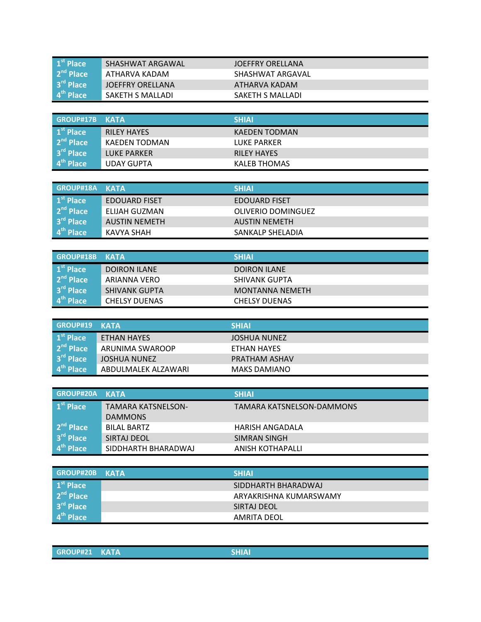| $1st$ Place           | SHASHWAT ARGAWAL | JOEFFRY ORELLANA |
|-----------------------|------------------|------------------|
| $2nd$ Place           | ATHARVA KADAM    | SHASHWAT ARGAVAL |
| 3 <sup>rd</sup> Place | JOEFFRY ORELLANA | ATHARVA KADAM    |
| $4th$ Place           | SAKETH S MALLADI | SAKETH S MALLADI |

| GROUP#17B             | KATA               | <b>SHIAI</b>         |
|-----------------------|--------------------|----------------------|
| $1st$ Place           | <b>RILEY HAYES</b> | <b>KAEDEN TODMAN</b> |
| $2nd$ Place           | KAEDEN TODMAN      | LUKE PARKER          |
| 3 <sup>rd</sup> Place | <b>LUKE PARKER</b> | <b>RILEY HAYES</b>   |
| $4th$ Place           | <b>UDAY GUPTA</b>  | KALEB THOMAS         |

| GROUP#18A KATA                   |                      | <b>SHIAI</b>              |
|----------------------------------|----------------------|---------------------------|
| $\vert$ 1 <sup>st</sup> Place    | <b>EDOUARD FISET</b> | EDOUARD FISET             |
| $2nd$ Place                      | ELIJAH GUZMAN        | <b>OLIVERIO DOMINGUEZ</b> |
| $3rd$ Place                      | <b>AUSTIN NEMETH</b> | <b>AUSTIN NEMETH</b>      |
| $\overline{4}^{\text{th}}$ Place | KAVYA SHAH           | SANKALP SHELADIA          |

| GROUP#18B             | KATA                 | <b>SHIAI</b>         |
|-----------------------|----------------------|----------------------|
| $1st$ Place           | <b>DOIRON ILANE</b>  | <b>DOIRON ILANE</b>  |
| 2 <sup>nd</sup> Place | ARIANNA VERO         | SHIVANK GUPTA        |
| $3rd$ Place           | <b>SHIVANK GUPTA</b> | MONTANNA NEMETH      |
| 4 <sup>th</sup> Place | <b>CHELSY DUENAS</b> | <b>CHELSY DUENAS</b> |

| GROUP#19 KATA                    |                     | <b>SHIAI</b>         |
|----------------------------------|---------------------|----------------------|
| $\mathbf{1}^{\text{st}}$ Place   | ETHAN HAYES         | <b>JOSHUA NUNEZ</b>  |
| $2nd$ Place                      | ARUNIMA SWAROOP     | ETHAN HAYES          |
| $3rd$ Place                      | JOSHUA NUNEZ        | <b>PRATHAM ASHAV</b> |
| $\overline{4}^{\text{th}}$ Place | ABDULMALEK ALZAWARI | <b>MAKS DAMIANO</b>  |

| <b>GROUP#20A</b>      | <b>KATA</b>               | <b>SHIAI</b>              |
|-----------------------|---------------------------|---------------------------|
| 1 <sup>st</sup> Place | <b>TAMARA KATSNELSON-</b> | TAMARA KATSNELSON-DAMMONS |
|                       | <b>DAMMONS</b>            |                           |
| 2 <sup>nd</sup> Place | BILAL BARTZ               | HARISH ANGADALA           |
| 3 <sup>rd</sup> Place | SIRTAJ DEOL               | SIMRAN SINGH              |
| 4 <sup>th</sup> Place | SIDDHARTH BHARADWAJ       | ANISH KOTHAPALLI          |

| GROUP#20B                | <b>KATA</b> | <b>SHIAI</b>           |
|--------------------------|-------------|------------------------|
| $\vert 1^{\rm st}$ Place |             | SIDDHARTH BHARADWAJ    |
| $2nd$ Place              |             | ARYAKRISHNA KUMARSWAMY |
| $3rd$ Place              |             | SIRTAJ DEOL            |
| $4th$ Place              |             | AMRITA DEOL            |

| <b>GROUP#21 KATA</b><br><b>SHIAI</b> |
|--------------------------------------|
|--------------------------------------|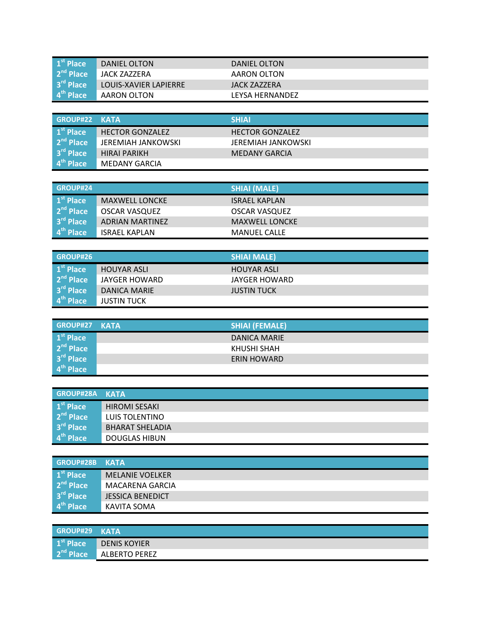| $\vert$ 1 <sup>st</sup> Place | DANIEL OLTON          | DANIEL OLTON    |
|-------------------------------|-----------------------|-----------------|
| $2nd$ Place                   | JACK ZAZZERA          | AARON OLTON     |
| $3rd$ Place                   | LOUIS-XAVIER LAPIERRE | JACK ZAZZERA    |
| $\vert$ 4 <sup>th</sup> Place | AARON OLTON           | LEYSA HERNANDEZ |

| GROUP#22 KATA                    |                        | <b>SHIAI</b>              |
|----------------------------------|------------------------|---------------------------|
| $\vert 1^{\rm st}$ Place         | <b>HECTOR GONZALEZ</b> | <b>HECTOR GONZALEZ</b>    |
| $2nd$ Place                      | JEREMIAH JANKOWSKI     | <b>JEREMIAH JANKOWSKI</b> |
| $3rd$ Place                      | <b>HIRAI PARIKH</b>    | <b>MEDANY GARCIA</b>      |
| $\overline{4}^{\text{th}}$ Place | <b>MEDANY GARCIA</b>   |                           |

| <b>GROUP#24</b>          |                       | <b>SHIAI (MALE)</b>   |
|--------------------------|-----------------------|-----------------------|
| $\vert 1^{\rm st}$ Place | <b>MAXWELL LONCKE</b> | <b>ISRAEL KAPLAN</b>  |
| $2nd$ Place              | <b>OSCAR VASQUEZ</b>  | OSCAR VASQUEZ         |
| 3 <sup>rd</sup> Place    | ADRIAN MARTINEZ       | <b>MAXWELL LONCKE</b> |
| 4 <sup>th</sup> Place    | <b>ISRAEL KAPLAN</b>  | <b>MANUEL CALLE</b>   |

| GROUP#26                                       |                    | <b>SHIAI MALE)</b> |
|------------------------------------------------|--------------------|--------------------|
| $\vert 1^{\rm st}$ Place                       | <b>HOUYAR ASLI</b> | <b>HOUYAR ASLI</b> |
| 2 <sup>nd</sup> Place                          | JAYGER HOWARD      | JAYGER HOWARD      |
| $\overline{\phantom{a}}$ 3 <sup>rd</sup> Place | DANICA MARIE       | <b>JUSTIN TUCK</b> |
| $\vert$ 4 <sup>th</sup> Place                  | <b>JUSTIN TUCK</b> |                    |

| GROUP#27 KATA                  | <b>SHIAI (FEMALE)</b> |
|--------------------------------|-----------------------|
| $\mathbf{1}^{\text{st}}$ Place | DANICA MARIE          |
| 2 <sup>nd</sup> Place          | KHUSHI SHAH           |
| $3rd$ Place                    | <b>ERIN HOWARD</b>    |
| $4th$ Place                    |                       |

| GROUP#28A             | <b>KATA</b>            |
|-----------------------|------------------------|
| $1st$ Place           | <b>HIROMI SESAKI</b>   |
| $2nd$ Place           | LUIS TOLENTINO         |
| $3rd$ Place           | <b>BHARAT SHELADIA</b> |
| 4 <sup>th</sup> Place | <b>DOUGLAS HIBUN</b>   |

| GROUP#28B             | <b>KATA</b>             |
|-----------------------|-------------------------|
| $1st$ Place           | <b>MELANIE VOELKER</b>  |
| 2 <sup>nd</sup> Place | MACARENA GARCIA         |
| $3rd$ Place           | <b>JESSICA BENEDICT</b> |
| 4 <sup>th</sup> Place | KAVITA SOMA             |

| GROUP#29 KATA |                     |
|---------------|---------------------|
| $1st$ Place   | <b>DENIS KOYIER</b> |
| $2nd$ Place   | ALBERTO PEREZ       |